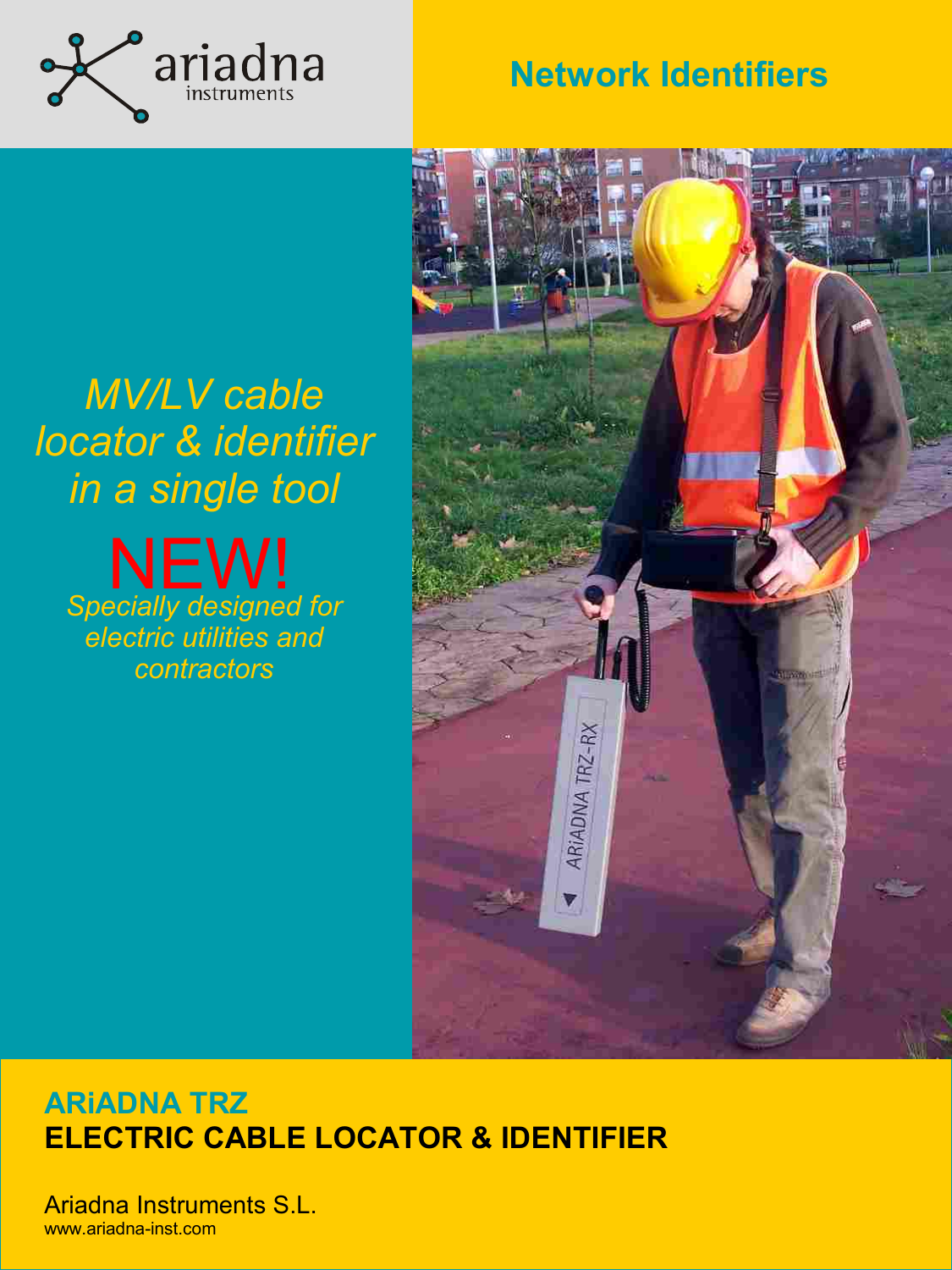

## **Network Identifiers**

### Una pequeña intro de la controducción de la controducción de la controducción de la controducción de la controducción de l *MV/LV cable locator & identifier in a single tool Specially designed for electric utilities and contractors* NEW!



### **ARiADNA TRZ ELECTRIC CABLE LOCATOR & IDENTIFIER**

Ariadna Instruments S.L. www.ariadna-inst.com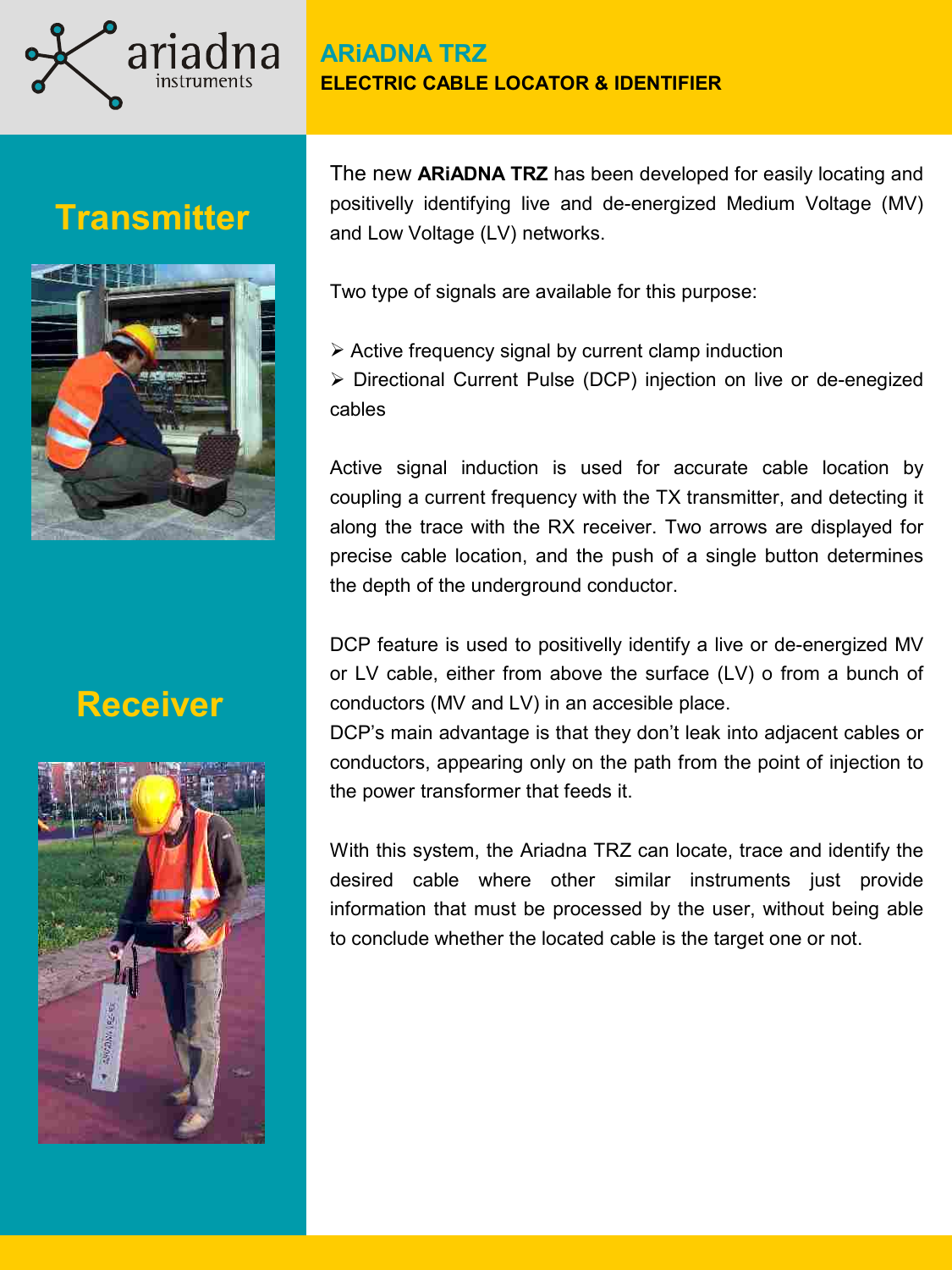

# **Transmitter**



# **Receiver**



The new **ARiADNA TRZ** has been developed for easily locating and positivelly identifying live and de-energized Medium Voltage (MV) and Low Voltage (LV) networks.

Two type of signals are available for this purpose:

 $\triangleright$  Active frequency signal by current clamp induction Directional Current Pulse (DCP) injection on live or de-enegized cables

Active signal induction is used for accurate cable location by coupling a current frequency with the TX transmitter, and detecting it along the trace with the RX receiver. Two arrows are displayed for precise cable location, and the push of a single button determines the depth of the underground conductor.

DCP feature is used to positivelly identify a live or de-energized MV or LV cable, either from above the surface (LV) o from a bunch of conductors (MV and LV) in an accesible place.

DCP's main advantage is that they don't leak into adjacent cables or conductors, appearing only on the path from the point of injection to the power transformer that feeds it.

With this system, the Ariadna TRZ can locate, trace and identify the desired cable where other similar instruments just provide information that must be processed by the user, without being able to conclude whether the located cable is the target one or not.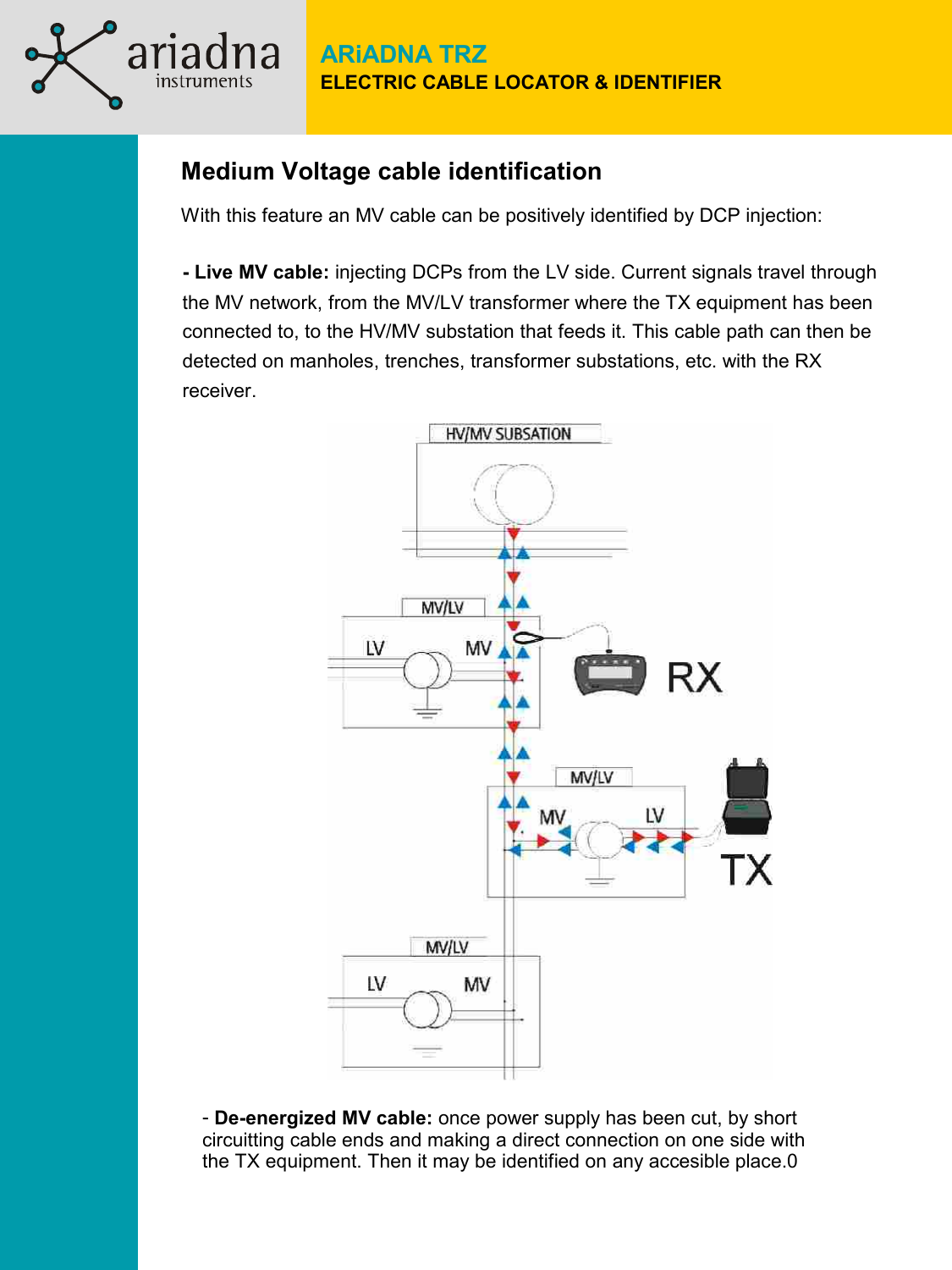### **Medium Voltage cable identification**

instruments

With this feature an MV cable can be positively identified by DCP injection:

**- Live MV cable:** injecting DCPs from the LV side. Current signals travel through the MV network, from the MV/LV transformer where the TX equipment has been connected to, to the HV/MV substation that feeds it. This cable path can then be detected on manholes, trenches, transformer substations, etc. with the RX receiver.



- **De-energized MV cable:** once power supply has been cut, by short circuitting cable ends and making a direct connection on one side with the TX equipment. Then it may be identified on any accesible place.0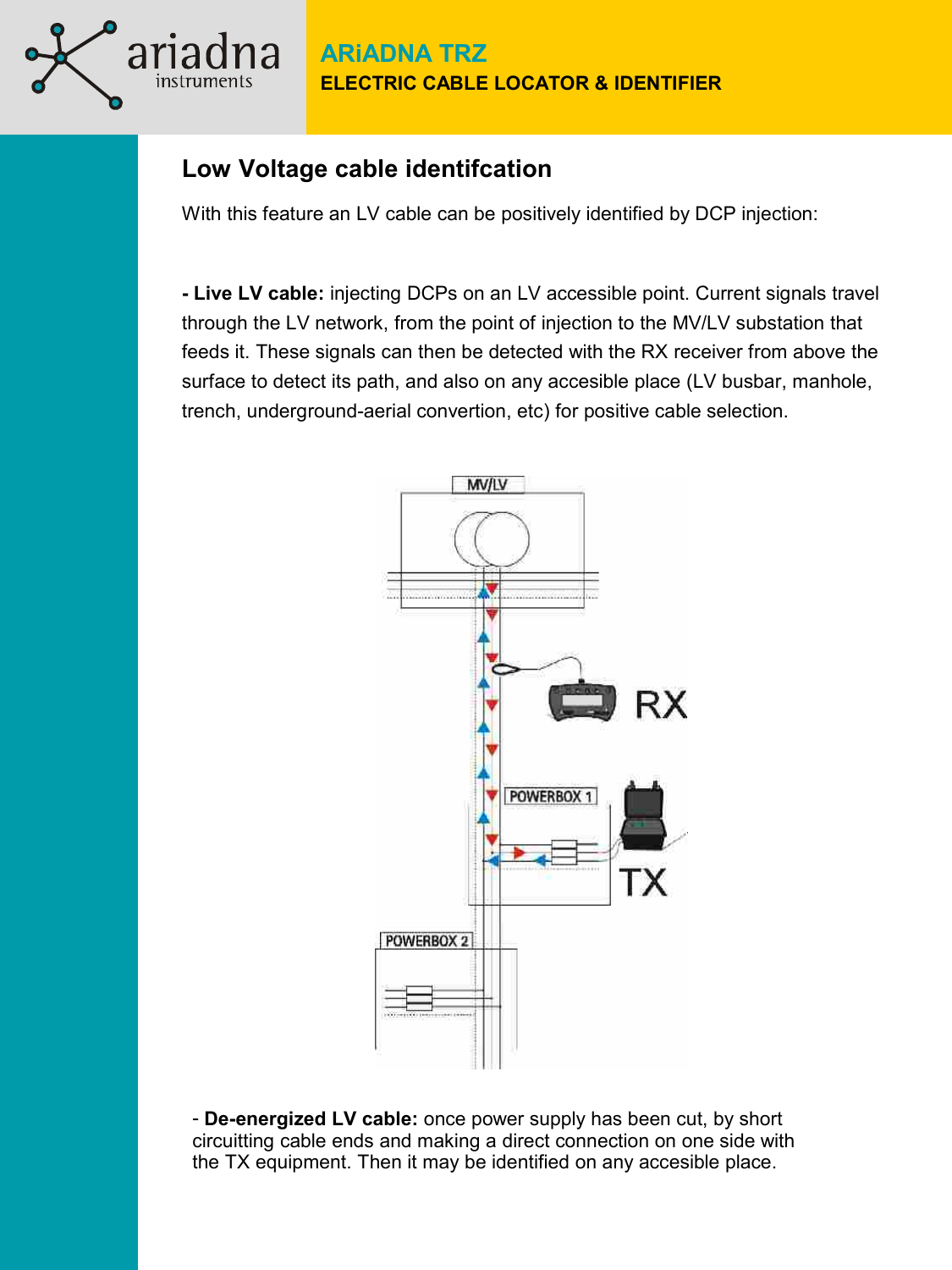### **Low Voltage cable identifcation**

instruments

With this feature an LV cable can be positively identified by DCP injection:

**- Live LV cable:** injecting DCPs on an LV accessible point. Current signals travel through the LV network, from the point of injection to the MV/LV substation that feeds it. These signals can then be detected with the RX receiver from above the surface to detect its path, and also on any accesible place (LV busbar, manhole, trench, underground-aerial convertion, etc) for positive cable selection.



- **De-energized LV cable:** once power supply has been cut, by short circuitting cable ends and making a direct connection on one side with the TX equipment. Then it may be identified on any accesible place.